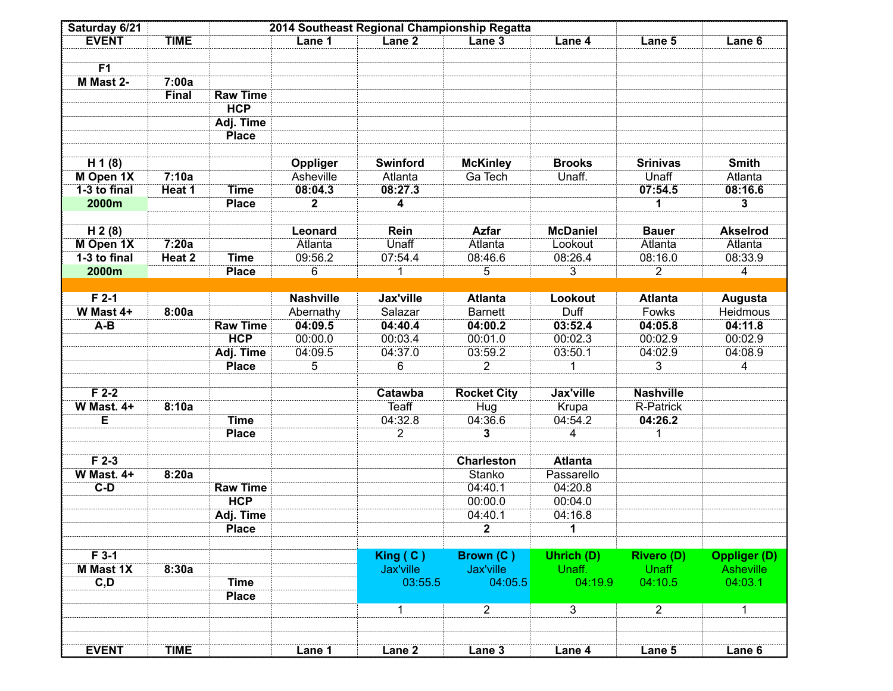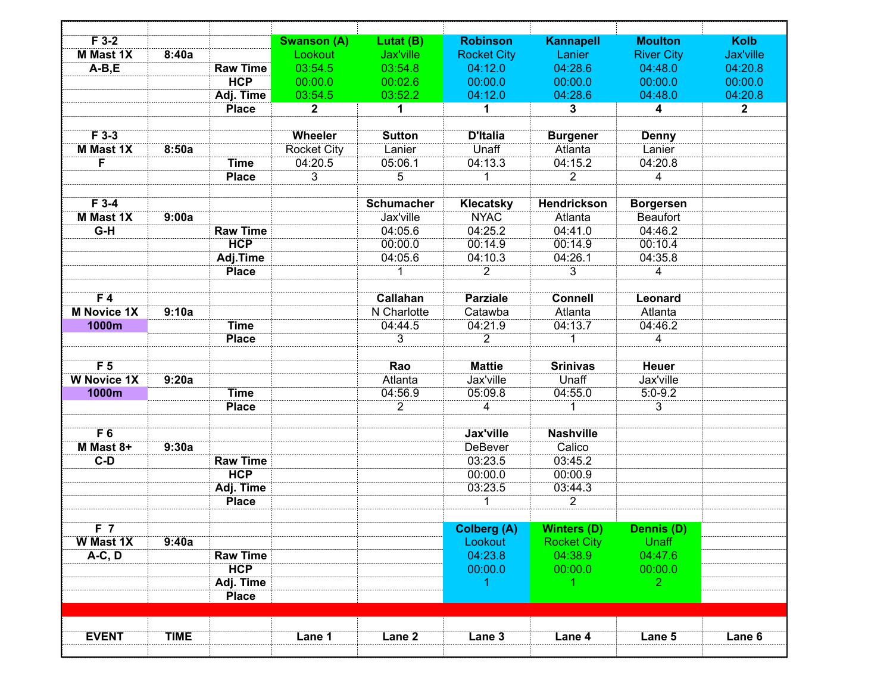| $F$ 3-2            |             |                 | <b>Swanson (A)</b> | Lutat (B)         | <b>Robinson</b>    | <b>Kannapell</b>           | <b>Moulton</b>         | <b>Kolb</b>  |
|--------------------|-------------|-----------------|--------------------|-------------------|--------------------|----------------------------|------------------------|--------------|
| <b>M</b> Mast 1X   | 8:40a       |                 | Lookout            | Jax'ville         | <b>Rocket City</b> | Lanier                     | <b>River City</b>      | Jax'ville    |
| $A-B,E$            |             | <b>Raw Time</b> | 03:54.5            | 03:54.8           | 04:12.0            | 04:28.6                    | 04:48.0                | 04:20.8      |
|                    |             | <b>HCP</b>      | 00:00.0            | 00:02.6           | 00:00.0            | 00:00.0                    | 00:00.0                | 00:00.0      |
|                    |             | Adj. Time       | 03:54.5            | 03:52.2           | 04:12.0            | 04:28.6                    | 04:48.0                | 04:20.8      |
|                    |             | <b>Place</b>    | $\mathbf{2}$       | 1                 | 1                  | $\mathbf{3}$               | 4                      | $\mathbf{2}$ |
| $F$ 3-3            |             |                 | Wheeler            | <b>Sutton</b>     | <b>D'Italia</b>    |                            |                        |              |
| <b>M</b> Mast 1X   | 8:50a       |                 | <b>Rocket City</b> | Lanier            | Unaff              | <b>Burgener</b><br>Atlanta | <b>Denny</b><br>Lanier |              |
| F                  |             | <b>Time</b>     | 04:20.5            | 05:06.1           | 04:13.3            | 04:15.2                    | 04:20.8                |              |
|                    |             | <b>Place</b>    | $\overline{3}$     |                   |                    | $\overline{2}$             |                        |              |
|                    |             |                 |                    | 5                 | $\mathbf{1}$       |                            | 4                      |              |
| $F$ 3-4            |             |                 |                    | <b>Schumacher</b> | Klecatsky          | Hendrickson                | <b>Borgersen</b>       |              |
| <b>M</b> Mast 1X   | 9:00a       |                 |                    | Jax'ville         | <b>NYAC</b>        | Atlanta                    | <b>Beaufort</b>        |              |
| $G-H$              |             | <b>Raw Time</b> |                    | 04:05.6           | 04:25.2            | 04:41.0                    | 04:46.2                |              |
|                    |             | <b>HCP</b>      |                    | 00:00.0           | 00:14.9            | 00:14.9                    | 00:10.4                |              |
|                    |             |                 |                    |                   |                    |                            |                        |              |
|                    |             | Adj.Time        |                    | 04:05.6           | 04:10.3            | 04:26.1                    | 04:35.8                |              |
|                    |             | <b>Place</b>    |                    | 1                 | $\overline{2}$     | $\overline{3}$             | 4                      |              |
| F <sub>4</sub>     |             |                 |                    | <b>Callahan</b>   | <b>Parziale</b>    | <b>Connell</b>             | Leonard                |              |
| <b>M Novice 1X</b> | 9:10a       |                 |                    | N Charlotte       | Catawba            | Atlanta                    | Atlanta                |              |
| 1000m              |             | <b>Time</b>     |                    | 04:44.5           | 04:21.9            | 04:13.7                    | 04:46.2                |              |
|                    |             | <b>Place</b>    |                    | 3                 | $\overline{2}$     | 1                          | 4                      |              |
|                    |             |                 |                    |                   |                    |                            |                        |              |
| F <sub>5</sub>     |             |                 |                    | Rao               | <b>Mattie</b>      | <b>Srinivas</b>            | <b>Heuer</b>           |              |
| <b>W Novice 1X</b> | 9:20a       |                 |                    | Atlanta           | Jax'ville          | Unaff                      | Jax'ville              |              |
| 1000m              |             | <b>Time</b>     |                    | 04:56.9           | 05:09.8            | 04:55.0                    | $5:0-9.2$              |              |
|                    |             | <b>Place</b>    |                    | $\overline{2}$    | 4                  | 1                          | 3                      |              |
|                    |             |                 |                    |                   |                    |                            |                        |              |
| F6                 |             |                 |                    |                   | <b>Jax'ville</b>   | <b>Nashville</b>           |                        |              |
| M Mast 8+          | 9:30a       |                 |                    |                   | <b>DeBever</b>     | Calico                     |                        |              |
| $C-D$              |             | <b>Raw Time</b> |                    |                   | 03:23.5            | 03:45.2                    |                        |              |
|                    |             | <b>HCP</b>      |                    |                   | 00:00.0            | 00:00.9                    |                        |              |
|                    |             | Adj. Time       |                    |                   | 03:23.5            | 03:44.3                    |                        |              |
|                    |             | <b>Place</b>    |                    |                   | 1                  | $\overline{2}$             |                        |              |
|                    |             |                 |                    |                   |                    |                            |                        |              |
| F <sub>7</sub>     |             |                 |                    |                   | <b>Colberg (A)</b> | <b>Winters (D)</b>         | Dennis (D)             |              |
| <b>W</b> Mast 1X   | 9:40a       |                 |                    |                   | Lookout            | <b>Rocket City</b>         | <b>Unaff</b>           |              |
| $A-C, D$           |             | <b>Raw Time</b> |                    |                   | 04:23.8            | 04:38.9                    | 04:47.6                |              |
|                    |             | <b>HCP</b>      |                    |                   | 00:00.0            | 00:00.0                    | 00:00.0                |              |
|                    |             | Adj. Time       |                    |                   | -1                 | 1.                         | 2 <sup>1</sup>         |              |
|                    |             | <b>Place</b>    |                    |                   |                    |                            |                        |              |
|                    |             |                 |                    |                   |                    |                            |                        |              |
| <b>EVENT</b>       | <b>TIME</b> |                 | Lane 1             | Lane 2            | Lane 3             | Lane 4                     | Lane 5                 | Lane 6       |
|                    |             |                 |                    |                   |                    |                            |                        |              |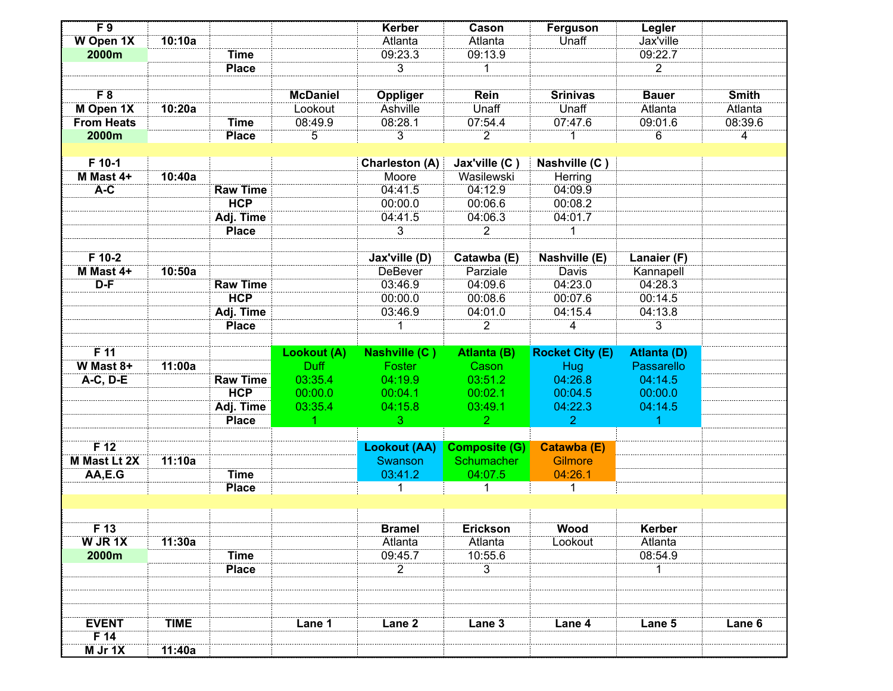| F <sub>9</sub>             |             |                 |                 | <b>Kerber</b>         | Cason                | Ferguson               | Legler             |              |
|----------------------------|-------------|-----------------|-----------------|-----------------------|----------------------|------------------------|--------------------|--------------|
| <b>W</b> Open 1X           | 10:10a      |                 |                 | Atlanta               | Atlanta              | Unaff                  | Jax'ville          |              |
| 2000m                      |             | <b>Time</b>     |                 | 09:23.3               | 09:13.9              |                        | 09:22.7            |              |
|                            |             | <b>Place</b>    |                 | $\overline{3}$        | 1                    |                        | $\overline{2}$     |              |
|                            |             |                 |                 |                       |                      |                        |                    |              |
| F 8                        |             |                 | <b>McDaniel</b> | Oppliger              | <b>Rein</b>          | <b>Srinivas</b>        | <b>Bauer</b>       | <b>Smith</b> |
| M Open 1X                  | 10:20a      |                 | Lookout         | Ashville              | Unaff                | Unaff                  | Atlanta            | Atlanta      |
| <b>From Heats</b>          |             | <b>Time</b>     | 08:49.9         | 08:28.1               | 07:54.4              | 07:47.6                | 09:01.6            | 08:39.6      |
| 2000m                      |             | <b>Place</b>    | 5               | $\overline{3}$        | $\overline{2}$       | 1                      | 6                  | 4            |
| F 10-1                     |             |                 |                 |                       |                      |                        |                    |              |
|                            |             |                 |                 | <b>Charleston (A)</b> | Jax'ville (C)        | Nashville (C)          |                    |              |
| M Mast 4+                  | 10:40a      |                 |                 | Moore                 | Wasilewski           | Herring                |                    |              |
| A-C                        |             | <b>Raw Time</b> |                 | 04:41.5               | 04:12.9              | 04:09.9                |                    |              |
|                            |             | <b>HCP</b>      |                 | 00:00.0               | 00:06.6              | 00:08.2                |                    |              |
|                            |             | Adj. Time       |                 | 04:41.5               | 04:06.3              | 04:01.7                |                    |              |
|                            |             | <b>Place</b>    |                 | 3                     | $\overline{2}$       | 1                      |                    |              |
| $F$ 10-2                   |             |                 |                 | Jax'ville (D)         | Catawba (E)          | Nashville (E)          | Lanaier (F)        |              |
| M Mast 4+                  | 10:50a      |                 |                 | <b>DeBever</b>        | Parziale             | <b>Davis</b>           | Kannapell          |              |
| $D-F$                      |             | <b>Raw Time</b> |                 | 03:46.9               | 04:09.6              | 04:23.0                | 04:28.3            |              |
|                            |             | <b>HCP</b>      |                 | 00:00.0               | 00:08.6              | 00:07.6                | 00:14.5            |              |
|                            |             |                 |                 |                       |                      |                        |                    |              |
|                            |             | Adj. Time       |                 | 03:46.9               | 04:01.0              | 04:15.4                | 04:13.8            |              |
|                            |             | <b>Place</b>    |                 | 1                     | $\overline{2}$       | 4                      | 3                  |              |
|                            |             |                 |                 |                       |                      |                        |                    |              |
|                            |             |                 |                 |                       |                      |                        |                    |              |
| $F$ 11                     |             |                 | Lookout (A)     | Nashville (C)         | Atlanta (B)          | <b>Rocket City (E)</b> | <b>Atlanta (D)</b> |              |
| W Mast 8+                  | 11:00a      |                 | <b>Duff</b>     | Foster                | Cason                | <b>Hug</b>             | Passarello         |              |
| A-C, D-E                   |             | <b>Raw Time</b> | 03:35.4         | 04:19.9               | 03:51.2              | 04:26.8                | 04:14.5            |              |
|                            |             | <b>HCP</b>      | 00:00.0         | 00:04.1               | 00:02.1              | 00:04.5                | 00:00.0            |              |
|                            |             | Adj. Time       | 03:35.4<br>1    | 04:15.8               | 03:49.1              | 04:22.3                | 04:14.5            |              |
|                            |             | <b>Place</b>    |                 | 3 <sup>°</sup>        | 2 <sup>1</sup>       | $\overline{2}$         | 1                  |              |
| F <sub>12</sub>            |             |                 |                 | <b>Lookout (AA)</b>   | <b>Composite (G)</b> | Catawba (E)            |                    |              |
| <b>M Mast Lt 2X</b>        | 11:10a      |                 |                 | Swanson               | Schumacher           | <b>Gilmore</b>         |                    |              |
| AA,E.G                     |             | <b>Time</b>     |                 | 03:41.2               | 04:07.5              | 04:26.1                |                    |              |
|                            |             | <b>Place</b>    |                 | 1                     | 1                    | $\mathbf 1$            |                    |              |
|                            |             |                 |                 |                       |                      |                        |                    |              |
|                            |             |                 |                 |                       |                      |                        |                    |              |
| F <sub>13</sub>            |             |                 |                 | <b>Bramel</b>         | Erickson             | <b>Wood</b>            | Kerber             |              |
| W JR 1X                    | 11:30a      |                 |                 | Atlanta               | Atlanta              | Lookout                | Atlanta            |              |
| 2000m                      |             | <b>Time</b>     |                 | 09:45.7               | 10:55.6              |                        | 08:54.9            |              |
|                            |             | <b>Place</b>    |                 | $\overline{2}$        | $\overline{3}$       |                        | 1                  |              |
| <b>EVENT</b>               | <b>TIME</b> |                 | Lane 1          | Lane <sub>2</sub>     | Lane 3               | Lane 4                 | Lane 5             | Lane 6       |
| F <sub>14</sub><br>M Jr 1X | 11:40a      |                 |                 |                       |                      |                        |                    |              |